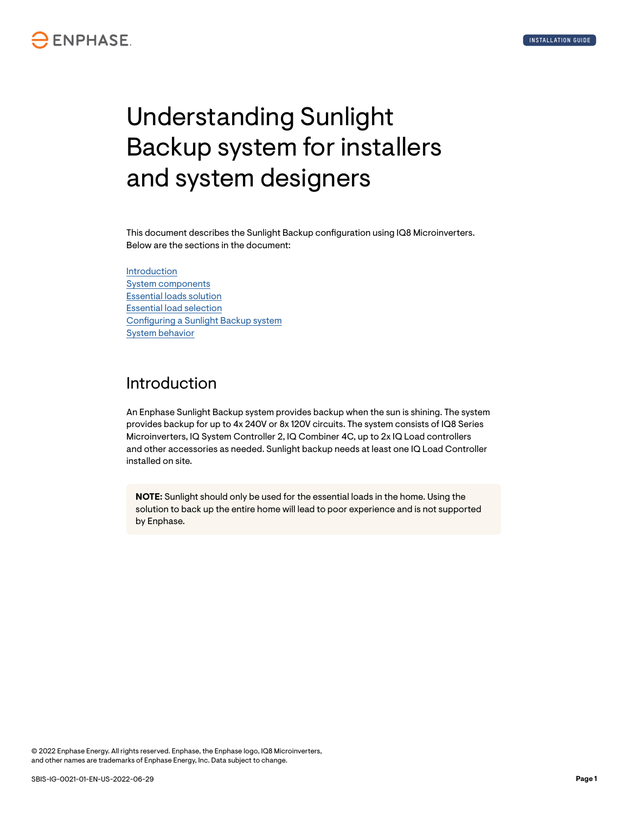# Understanding Sunlight Backup system for installers and system designers

This document describes the Sunlight Backup configuration using IQ8 Microinverters. Below are the sections in the document:

Introduction [System components](#page-1-0) [Essential loads solution](#page-2-0) [Essential load selection](#page-3-0) [Configuring a Sunlight Backup system](#page-3-0) [System behavior](#page-6-0)

#### Introduction

An Enphase Sunlight Backup system provides backup when the sun is shining. The system provides backup for up to 4x 240V or 8x 120V circuits. The system consists of IQ8 Series Microinverters, IQ System Controller 2, IQ Combiner 4C, up to 2x IQ Load controllers and other accessories as needed. Sunlight backup needs at least one IQ Load Controller installed on site.

**NOTE:** Sunlight should only be used for the essential loads in the home. Using the solution to back up the entire home will lead to poor experience and is not supported by Enphase.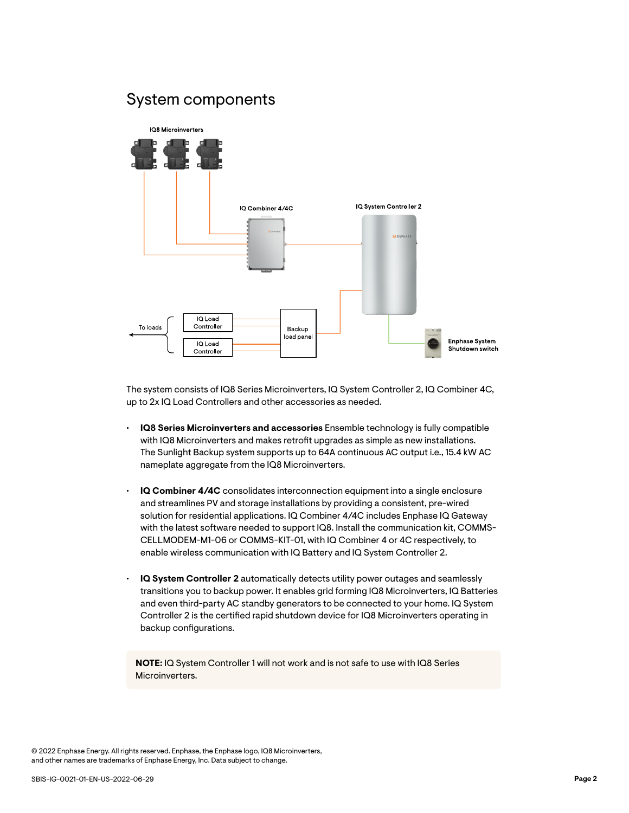#### <span id="page-1-0"></span>System components



The system consists of IQ8 Series Microinverters, IQ System Controller 2, IQ Combiner 4C, up to 2x IQ Load Controllers and other accessories as needed.

- **IQ8 Series Microinverters and accessories** Ensemble technology is fully compatible with IQ8 Microinverters and makes retrofit upgrades as simple as new installations. The Sunlight Backup system supports up to 64A continuous AC output i.e., 15.4 kW AC nameplate aggregate from the IQ8 Microinverters.
- **IQ Combiner 4/4C** consolidates interconnection equipment into a single enclosure and streamlines PV and storage installations by providing a consistent, pre-wired solution for residential applications. IQ Combiner 4/4C includes Enphase IQ Gateway with the latest software needed to support IQ8. Install the communication kit, COMMS-CELLMODEM-M1-06 or COMMS-KIT-01, with IQ Combiner 4 or 4C respectively, to enable wireless communication with IQ Battery and IQ System Controller 2.
- **IQ System Controller 2** automatically detects utility power outages and seamlessly transitions you to backup power. It enables grid forming IQ8 Microinverters, IQ Batteries and even third-party AC standby generators to be connected to your home. IQ System Controller 2 is the certified rapid shutdown device for IQ8 Microinverters operating in backup configurations.

**NOTE:** IQ System Controller 1 will not work and is not safe to use with IQ8 Series Microinverters.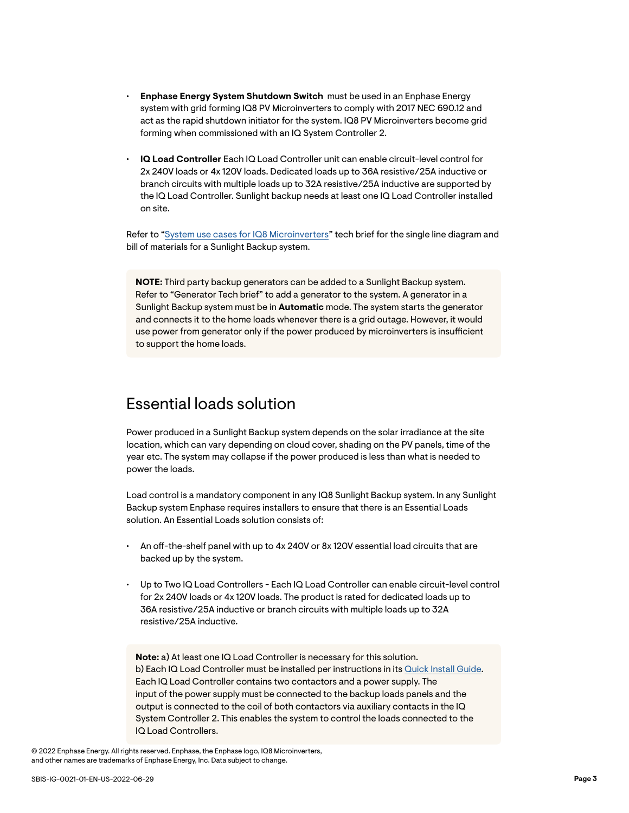- <span id="page-2-0"></span>• **Enphase Energy System Shutdown Switch** must be used in an Enphase Energy system with grid forming IQ8 PV Microinverters to comply with 2017 NEC 690.12 and act as the rapid shutdown initiator for the system. IQ8 PV Microinverters become grid forming when commissioned with an IQ System Controller 2.
- **IQ Load Controller** Each IQ Load Controller unit can enable circuit-level control for 2x 240V loads or 4x 120V loads. Dedicated loads up to 36A resistive/25A inductive or branch circuits with multiple loads up to 32A resistive/25A inductive are supported by the IQ Load Controller. Sunlight backup needs at least one IQ Load Controller installed on site.

Refer to ["System use cases for IQ8 Microinverters](https://enphase.com/download/system-use-cases-iq8-microinverters)" tech brief for the single line diagram and bill of materials for a Sunlight Backup system.

**NOTE:** Third party backup generators can be added to a Sunlight Backup system. Refer to "Generator Tech brief" to add a generator to the system. A generator in a Sunlight Backup system must be in **Automatic** mode. The system starts the generator and connects it to the home loads whenever there is a grid outage. However, it would use power from generator only if the power produced by microinverters is insufficient to support the home loads.

#### Essential loads solution

Power produced in a Sunlight Backup system depends on the solar irradiance at the site location, which can vary depending on cloud cover, shading on the PV panels, time of the year etc. The system may collapse if the power produced is less than what is needed to power the loads.

Load control is a mandatory component in any IQ8 Sunlight Backup system. In any Sunlight Backup system Enphase requires installers to ensure that there is an Essential Loads solution. An Essential Loads solution consists of:

- An off-the-shelf panel with up to 4x 240V or 8x 120V essential load circuits that are backed up by the system.
- Up to Two IQ Load Controllers Each IQ Load Controller can enable circuit-level control for 2x 240V loads or 4x 120V loads. The product is rated for dedicated loads up to 36A resistive/25A inductive or branch circuits with multiple loads up to 32A resistive/25A inductive.

**Note:** a) At least one IQ Load Controller is necessary for this solution. b) Each IQ Load Controller must be installed per instructions in its [Quick Install Guide.](https://enphase.com/sites/default/files/2021-10/IQ-Load-Controller-QIG-EN-US-Rev03-10-23-2021.pdf) Each IQ Load Controller contains two contactors and a power supply. The input of the power supply must be connected to the backup loads panels and the output is connected to the coil of both contactors via auxiliary contacts in the IQ System Controller 2. This enables the system to control the loads connected to the IQ Load Controllers.

<sup>© 2022</sup> Enphase Energy. All rights reserved. Enphase, the Enphase logo, IQ8 Microinverters, and other names are trademarks of Enphase Energy, Inc. Data subject to change.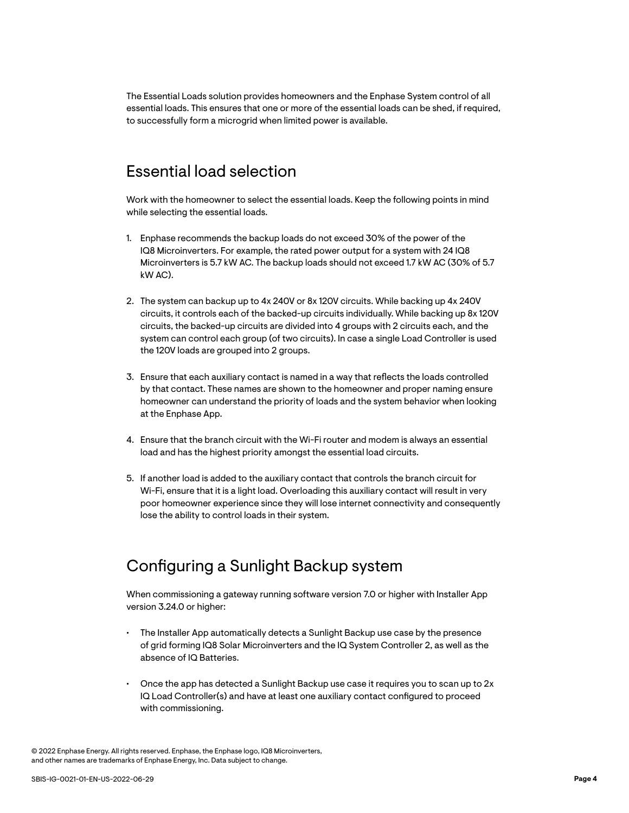<span id="page-3-0"></span>The Essential Loads solution provides homeowners and the Enphase System control of all essential loads. This ensures that one or more of the essential loads can be shed, if required, to successfully form a microgrid when limited power is available.

#### Essential load selection

Work with the homeowner to select the essential loads. Keep the following points in mind while selecting the essential loads.

- 1. Enphase recommends the backup loads do not exceed 30% of the power of the IQ8 Microinverters. For example, the rated power output for a system with 24 IQ8 Microinverters is 5.7 kW AC. The backup loads should not exceed 1.7 kW AC (30% of 5.7 kW AC).
- 2. The system can backup up to 4x 240V or 8x 120V circuits. While backing up 4x 240V circuits, it controls each of the backed-up circuits individually. While backing up 8x 120V circuits, the backed-up circuits are divided into 4 groups with 2 circuits each, and the system can control each group (of two circuits). In case a single Load Controller is used the 120V loads are grouped into 2 groups.
- 3. Ensure that each auxiliary contact is named in a way that reflects the loads controlled by that contact. These names are shown to the homeowner and proper naming ensure homeowner can understand the priority of loads and the system behavior when looking at the Enphase App.
- 4. Ensure that the branch circuit with the Wi-Fi router and modem is always an essential load and has the highest priority amongst the essential load circuits.
- 5. If another load is added to the auxiliary contact that controls the branch circuit for Wi-Fi, ensure that it is a light load. Overloading this auxiliary contact will result in very poor homeowner experience since they will lose internet connectivity and consequently lose the ability to control loads in their system.

### Configuring a Sunlight Backup system

When commissioning a gateway running software version 7.0 or higher with Installer App version 3.24.0 or higher:

- The Installer App automatically detects a Sunlight Backup use case by the presence of grid forming IQ8 Solar Microinverters and the IQ System Controller 2, as well as the absence of IQ Batteries.
- Once the app has detected a Sunlight Backup use case it requires you to scan up to 2x IQ Load Controller(s) and have at least one auxiliary contact configured to proceed with commissioning.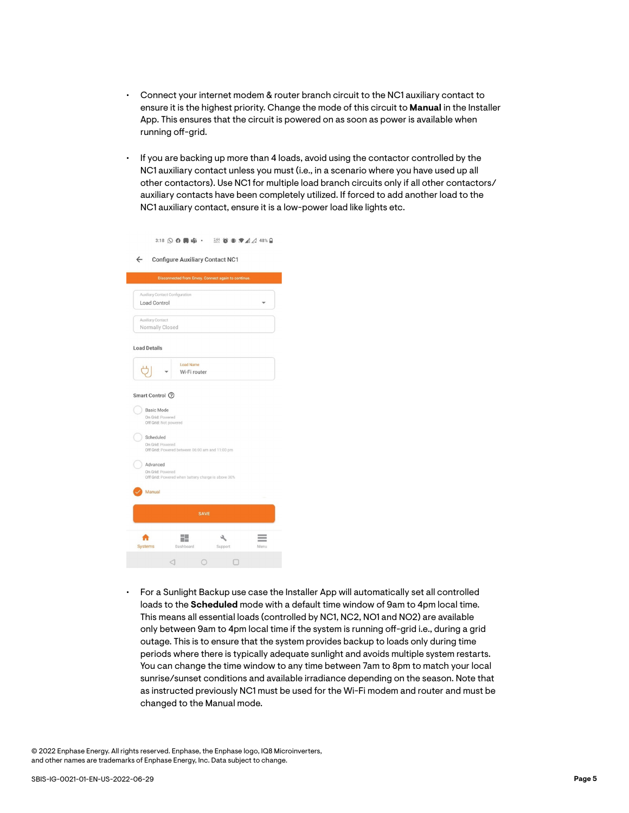- Connect your internet modem & router branch circuit to the NC1 auxiliary contact to ensure it is the highest priority. Change the mode of this circuit to **Manual** in the Installer App. This ensures that the circuit is powered on as soon as power is available when running off-grid.
- If you are backing up more than 4 loads, avoid using the contactor controlled by the NC1 auxiliary contact unless you must (i.e., in a scenario where you have used up all other contactors). Use NC1 for multiple load branch circuits only if all other contactors/ auxiliary contacts have been completely utilized. If forced to add another load to the NC1 auxiliary contact, ensure it is a low-power load like lights etc.

|  |  | 201 1 1 1 4 4 4 4 8 % 日 |  |  |  |
|--|--|-------------------------|--|--|--|
|--|--|-------------------------|--|--|--|

← Configure Auxiliary Contact NC1

|                                                  |                                                                                                       | Disconnected from Envoy. Connect again to continue. |      |  |  |  |
|--------------------------------------------------|-------------------------------------------------------------------------------------------------------|-----------------------------------------------------|------|--|--|--|
|                                                  | Auxiliary Contact Configuration                                                                       |                                                     |      |  |  |  |
| Load Control                                     |                                                                                                       |                                                     |      |  |  |  |
| Auxiliary Contact                                |                                                                                                       |                                                     |      |  |  |  |
| Normally Closed                                  |                                                                                                       |                                                     |      |  |  |  |
| <b>Load Details</b>                              |                                                                                                       |                                                     |      |  |  |  |
|                                                  | <b>Load Name</b>                                                                                      |                                                     |      |  |  |  |
|                                                  | Wi-Fi router                                                                                          |                                                     |      |  |  |  |
| Scheduled                                        |                                                                                                       |                                                     |      |  |  |  |
| On Grid: Powered<br>Advanced<br>On Grid: Powered | Off Grid: Powered between 06:00 am and 11:00 pm<br>Off Grid: Powered when battery charge is above 30% |                                                     |      |  |  |  |
| Manual                                           |                                                                                                       |                                                     |      |  |  |  |
|                                                  | <b>SAVE</b>                                                                                           |                                                     |      |  |  |  |
|                                                  | 29                                                                                                    |                                                     |      |  |  |  |
| Systems                                          | Dashboard                                                                                             | Support                                             | Menu |  |  |  |

• For a Sunlight Backup use case the Installer App will automatically set all controlled loads to the **Scheduled** mode with a default time window of 9am to 4pm local time. This means all essential loads (controlled by NC1, NC2, NO1 and NO2) are available only between 9am to 4pm local time if the system is running off-grid i.e., during a grid outage. This is to ensure that the system provides backup to loads only during time periods where there is typically adequate sunlight and avoids multiple system restarts. You can change the time window to any time between 7am to 8pm to match your local sunrise/sunset conditions and available irradiance depending on the season. Note that as instructed previously NC1 must be used for the Wi-Fi modem and router and must be changed to the Manual mode.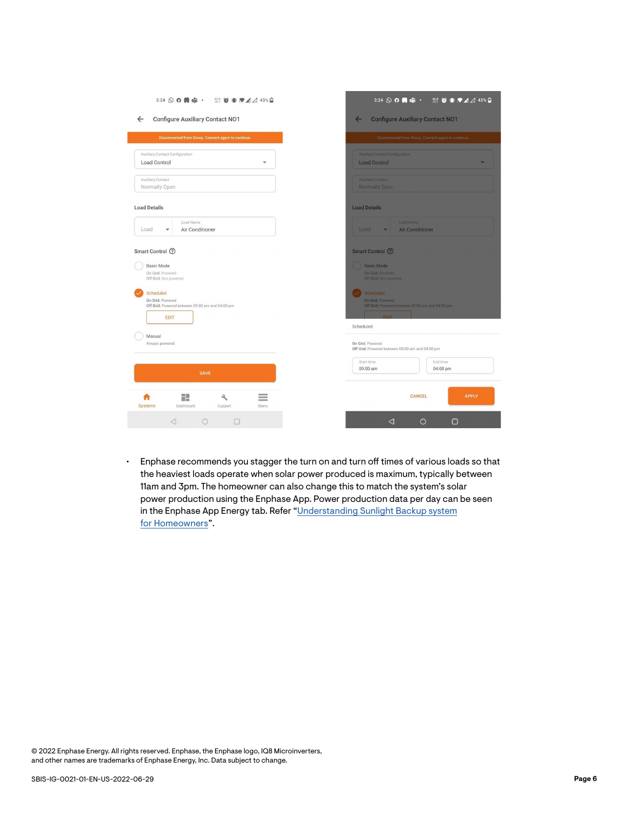| 3:24 Q Q 同 由 · 您 首 非 ♥ A A 43%自                                       | 3:24 Q Q 同 中 · 盤 O 事 7 4 4 43% Q                    |
|-----------------------------------------------------------------------|-----------------------------------------------------|
| <b>Configure Auxiliary Contact NO1</b>                                | <b>Configure Auxiliary Contact NO1</b>              |
| $\leftarrow$                                                          | $\leftarrow$                                        |
| Disconnected from Envoy. Connect again to continue.                   | Disconnected from Envoy. Connect again to continue. |
| Auxiliary Contact Configuration                                       | <b>Auxiliary Contact Configuration</b>              |
| <b>Load Control</b>                                                   | <b>Load Control</b>                                 |
| Auxiliary Contact                                                     | <b>Auxiliary Contact</b>                            |
| Normally Open                                                         | <b>Normally Open</b>                                |
| <b>Load Details</b>                                                   | <b>Load Details</b>                                 |
| Load Name                                                             | Load Name                                           |
| Load                                                                  | Load                                                |
| Air Conditioner                                                       | <b>Air Conditioner</b>                              |
| $\overline{\phantom{a}}$                                              | $\overline{\phantom{a}}$                            |
| Smart Control 2                                                       | Smart Control ②                                     |
| <b>Basic Mode</b>                                                     | <b>Basic Mode</b>                                   |
| On Grid: Powered                                                      | On Grid: Powered                                    |
| Off Grid: Not powered                                                 | Off Grid: Not powered                               |
| Scheduled                                                             | Scheduled                                           |
| On Grid: Powered                                                      | On Grid: Powered                                    |
| Off Grid: Powered between 09:00 am and 04:00 pm                       | Off Grid: Powered between 09:00 am and 04:00 pm     |
| <b>EDIT</b>                                                           | Scheduled                                           |
| Manual                                                                | On Grid: Powered                                    |
| Always powered                                                        | Off Grid: Powered between 09:00 am and 04:00 pm     |
| <b>SAVE</b>                                                           | Start time<br>End time<br>09:00 am<br>04:00 pm      |
| H.<br>٩<br>-<br><b>Systems</b><br>Dashboard<br><b>Support</b><br>Menu | <b>APPLY</b><br><b>CANCEL</b>                       |
| $\triangleleft$                                                       | ◁                                                   |
| $\circ$                                                               | $\circ$                                             |
| $\Box$                                                                | $\Box$                                              |

• Enphase recommends you stagger the turn on and turn off times of various loads so that the heaviest loads operate when solar power produced is maximum, typically between 11am and 3pm. The homeowner can also change this to match the system's solar power production using the Enphase App. Power production data per day can be seen in the Enphase App Energy tab. Refer "[Understanding Sunlight Backup system](https://enphase.com/download/sunlight-backup-user-guide) [for Homeowners"](https://enphase.com/download/sunlight-backup-user-guide).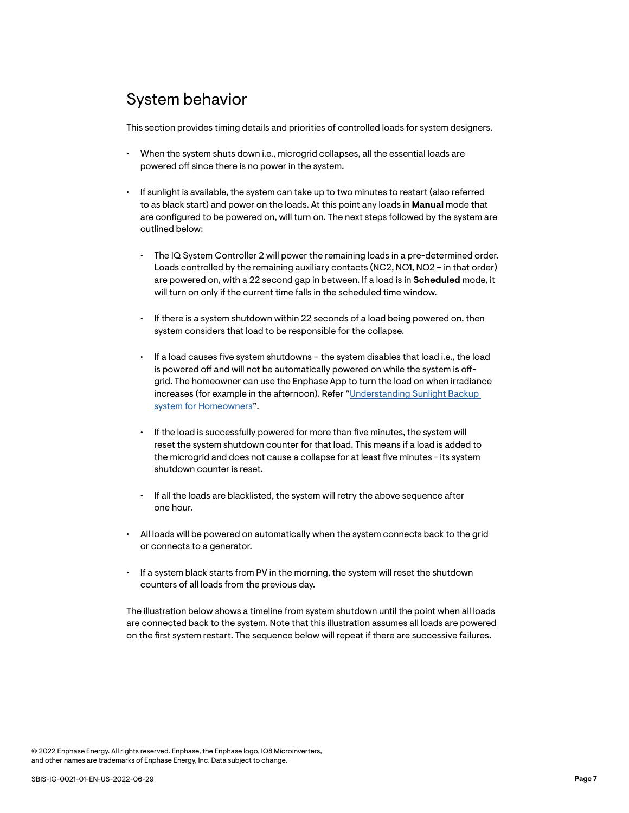## <span id="page-6-0"></span>System behavior

This section provides timing details and priorities of controlled loads for system designers.

- When the system shuts down i.e., microgrid collapses, all the essential loads are powered off since there is no power in the system.
- If sunlight is available, the system can take up to two minutes to restart (also referred to as black start) and power on the loads. At this point any loads in **Manual** mode that are configured to be powered on, will turn on. The next steps followed by the system are outlined below:
	- The IQ System Controller 2 will power the remaining loads in a pre-determined order. Loads controlled by the remaining auxiliary contacts (NC2, NO1, NO2 – in that order) are powered on, with a 22 second gap in between. If a load is in **Scheduled** mode, it will turn on only if the current time falls in the scheduled time window.
	- If there is a system shutdown within 22 seconds of a load being powered on, then system considers that load to be responsible for the collapse.
	- If a load causes five system shutdowns the system disables that load i.e., the load is powered off and will not be automatically powered on while the system is offgrid. The homeowner can use the Enphase App to turn the load on when irradiance increases (for example in the afternoon). Refer "[Understanding Sunlight Backup](https://enphase.com/download/sunlight-backup-user-guide)  [system for Homeowners](https://enphase.com/download/sunlight-backup-user-guide)".
	- If the load is successfully powered for more than five minutes, the system will reset the system shutdown counter for that load. This means if a load is added to the microgrid and does not cause a collapse for at least five minutes - its system shutdown counter is reset.
	- If all the loads are blacklisted, the system will retry the above sequence after one hour.
- All loads will be powered on automatically when the system connects back to the grid or connects to a generator.
- If a system black starts from PV in the morning, the system will reset the shutdown counters of all loads from the previous day.

The illustration below shows a timeline from system shutdown until the point when all loads are connected back to the system. Note that this illustration assumes all loads are powered on the first system restart. The sequence below will repeat if there are successive failures.